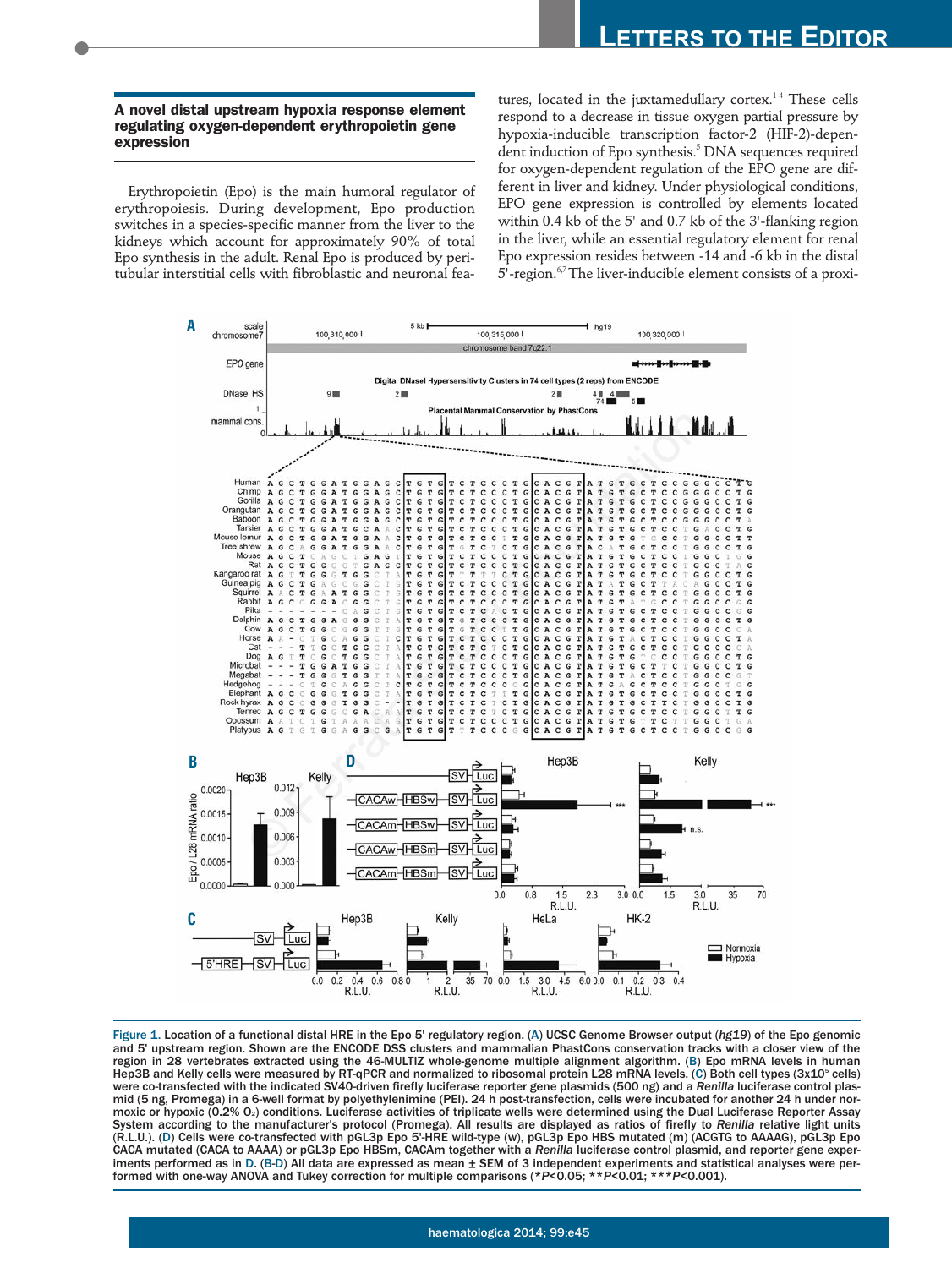## **A novel distal upstream hypoxia response element regulating oxygen-dependent erythropoietin gene expression**

Erythropoietin (Epo) is the main humoral regulator of erythropoiesis. During development, Epo production switches in a species-specific manner from the liver to the kidneys which account for approximately 90% of total Epo synthesis in the adult. Renal Epo is produced by peritubular interstitial cells with fibroblastic and neuronal features, located in the juxtamedullary cortex.<sup>1-4</sup> These cells respond to a decrease in tissue oxygen partial pressure by hypoxia-inducible transcription factor-2 (HIF-2)-dependent induction of Epo synthesis.<sup>5</sup> DNA sequences required for oxygen-dependent regulation of the EPO gene are different in liver and kidney. Under physiological conditions, EPO gene expression is controlled by elements located within 0.4 kb of the 5' and 0.7 kb of the 3'-flanking region in the liver, while an essential regulatory element for renal Epo expression resides between -14 and -6 kb in the distal  $5'$ -region.<sup>67</sup> The liver-inducible element consists of a proxi-



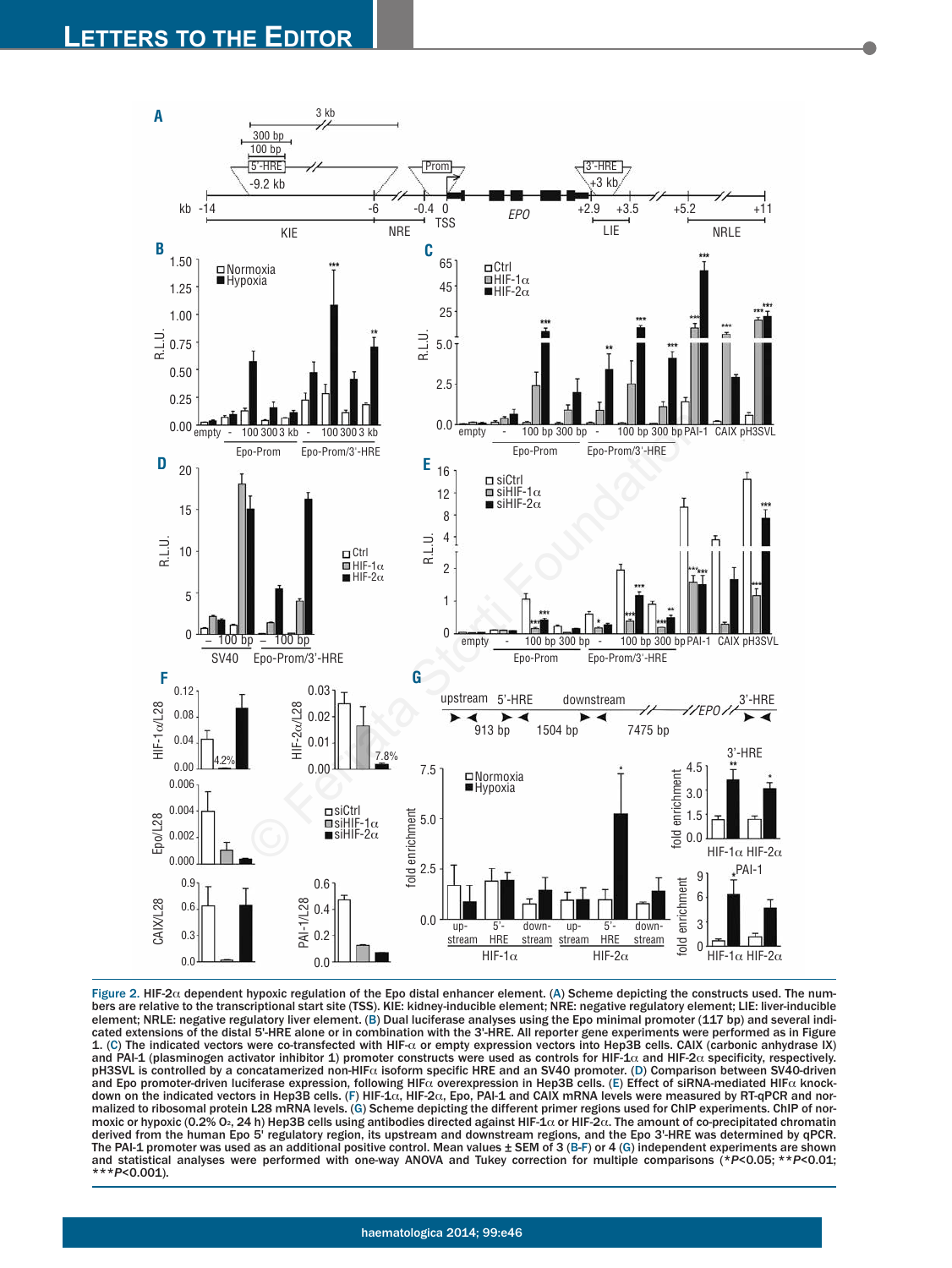

Figure 2. HIF-2α dependent hypoxic regulation of the Epo distal enhancer element. (A) Scheme depicting the constructs used. The num-<br>bers are relative to the transcriptional start site (TSS). KIE: kidney-inducible element element; NRLE: negative regulatory liver element. (B) Dual luciferase analyses using the Epo minimal promoter (117 bp) and several indicated extensions of the distal 5'-HRE alone or in combination with the 3'-HRE. All reporter gene experiments were performed as in Figure 1. (C) The indicated vectors were co-transfected with HIF-a or empty expression vectors into Hep3B cells. CAIX (carbonic anhydrase IX) and PAI-1 (plasminogen activator inhibitor 1) promoter constructs were used as controls for HIF-1 $\alpha$  and HIF-2 $\alpha$  specificity, respectively. pH3SVL is controlled by a concatamerized non-HIF $\alpha$  isoform specific HRE and an SV40 promoter. (D) Comparison between SV40-driven and Epo promoter-driven luciferase expression, following HIF $\alpha$  overexpression in Hep3B cells. (E) Effect of siRNA-mediated HIF $\alpha$  knockdown on the indicated vectors in Hep3B cells. (F) HIF-1 $\alpha$ , HIF-2 $\alpha$ , Epo, PAI-1 and CAIX mRNA levels were measured by RT-qPCR and normalized to ribosomal protein L28 mRNA levels. (G) Scheme depicting the different primer regions used for ChIP experiments. ChIP of normoxic or hypoxic (0.2% O2, 24 h) Hep3B cells using antibodies directed against HIF-1 $\alpha$  or HIF-2 $\alpha$ . The amount of co-precipitated chromatin derived from the human Epo 5' regulatory region, its upstream and downstream regions, and the Epo 3'-HRE was determined by qPCR. The PAI-1 promoter was used as an additional positive control. Mean values  $\pm$  SEM of 3 (B-F) or 4 (G) independent experiments are shown and statistical analyses were performed with one-way ANOVA and Tukey correction for multiple comparisons (\**P*<0.05; \*\**P*<0.01; \*\*\**P*<0.001).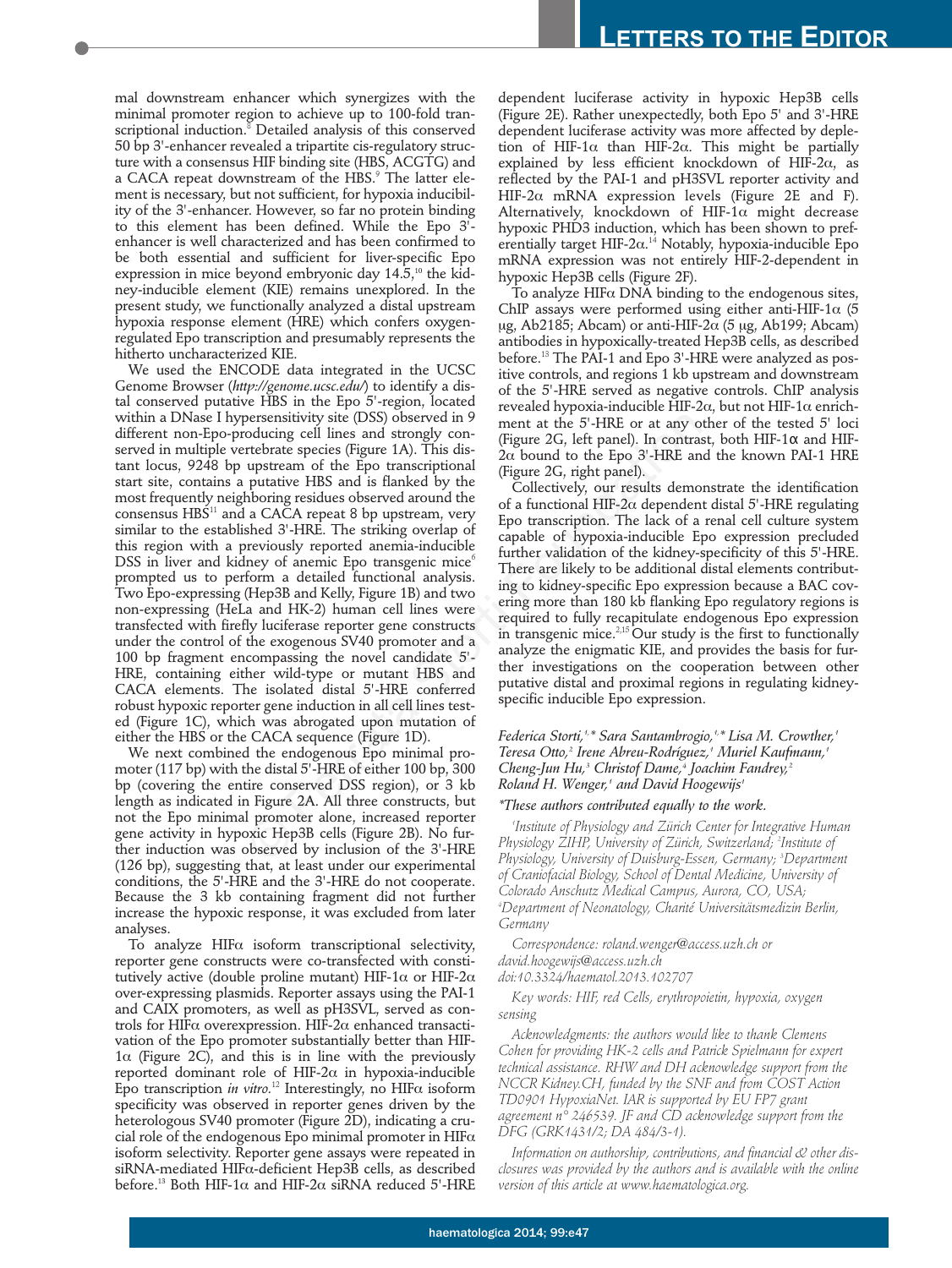mal downstream enhancer which synergizes with the minimal promoter region to achieve up to 100-fold transcriptional induction.<sup>8</sup> Detailed analysis of this conserved 50 bp 3'-enhancer revealed a tripartite cis-regulatory structure with a consensus HIF binding site (HBS, ACGTG) and a CACA repeat downstream of the HBS.<sup>9</sup> The latter element is necessary, but not sufficient, for hypoxia inducibility of the 3'-enhancer. However, so far no protein binding to this element has been defined. While the Epo 3' enhancer is well characterized and has been confirmed to be both essential and sufficient for liver-specific Epo expression in mice beyond embryonic day  $14.5<sup>10</sup>$  the kidney-inducible element (KIE) remains unexplored. In the present study, we functionally analyzed a distal upstream hypoxia response element (HRE) which confers oxygenregulated Epo transcription and presumably represents the hitherto uncharacterized KIE.

We used the ENCODE data integrated in the UCSC Genome Browser (*http://genome.ucsc.edu/*) to identify a distal conserved putative HBS in the Epo 5'-region, located within a DNase I hypersensitivity site (DSS) observed in 9 different non-Epo-producing cell lines and strongly conserved in multiple vertebrate species (Figure 1A). This distant locus, 9248 bp upstream of the Epo transcriptional start site, contains a putative HBS and is flanked by the most frequently neighboring residues observed around the consensus HBS<sup>11</sup> and a CACA repeat 8 bp upstream, very similar to the established 3'-HRE. The striking overlap of this region with a previously reported anemia-inducible DSS in liver and kidney of anemic Epo transgenic mice<sup> $6$ </sup> prompted us to perform a detailed functional analysis. Two Epo-expressing (Hep3B and Kelly, Figure 1B) and two non-expressing (HeLa and HK-2) human cell lines were transfected with firefly luciferase reporter gene constructs under the control of the exogenous SV40 promoter and a 100 bp fragment encompassing the novel candidate 5'- HRE, containing either wild-type or mutant HBS and CACA elements. The isolated distal 5'-HRE conferred robust hypoxic reporter gene induction in all cell lines tested (Figure 1C), which was abrogated upon mutation of either the HBS or the CACA sequence (Figure 1D). persensitivity site (DSS) observed in 9<br>
containing cell lines and strongly com-<br>
(Figure 2G, left panel). In contract<br>
retebrate species (Figure 1A). This dis-<br>  $2C_0$  bound to the Epo 3'-HRE and<br>
upstream of the Epo tra

We next combined the endogenous Epo minimal promoter (117 bp) with the distal 5'-HRE of either 100 bp, 300 bp (covering the entire conserved DSS region), or 3 kb length as indicated in Figure 2A. All three constructs, but not the Epo minimal promoter alone, increased reporter gene activity in hypoxic Hep3B cells (Figure 2B). No further induction was observed by inclusion of the 3'-HRE (126 bp), suggesting that, at least under our experimental conditions, the 5'-HRE and the 3'-HRE do not cooperate. Because the 3 kb containing fragment did not further increase the hypoxic response, it was excluded from later analyses.

To analyze HIF $\alpha$  isoform transcriptional selectivity, reporter gene constructs were co-transfected with constitutively active (double proline mutant) HIF-1 $\alpha$  or HIF-2 $\alpha$ over-expressing plasmids. Reporter assays using the PAI-1 and CAIX promoters, as well as pH3SVL, served as controls for HIF $\alpha$  overexpression. HIF-2 $\alpha$  enhanced transactivation of the Epo promoter substantially better than HIF- $1\alpha$  (Figure 2C), and this is in line with the previously reported dominant role of HIF-2 $\alpha$  in hypoxia-inducible Epo transcription *in vitro.*<sup>12</sup> Interestingly, no HIFa isoform specificity was observed in reporter genes driven by the heterologous SV40 promoter (Figure 2D), indicating a crucial role of the endogenous Epo minimal promoter in  $HIF\alpha$ isoform selectivity. Reporter gene assays were repeated in siRNA-mediated HIFa-deficient Hep3B cells, as described before.<sup>13</sup> Both HIF-1 $\alpha$  and HIF-2 $\alpha$  siRNA reduced 5'-HRE

dependent luciferase activity in hypoxic Hep3B cells (Figure 2E). Rather unexpectedly, both Epo 5' and 3'-HRE dependent luciferase activity was more affected by depletion of HIF-1 $\alpha$  than HIF-2 $\alpha$ . This might be partially explained by less efficient knockdown of HIF-2 $\alpha$ , as reflected by the PAI-1 and pH3SVL reporter activity and HIF-2 $\alpha$  mRNA expression levels (Figure 2E and F). Alternatively, knockdown of HIF-1 $\alpha$  might decrease hypoxic PHD3 induction, which has been shown to preferentially target HIF-2 $\alpha$ .<sup>14</sup> Notably, hypoxia-inducible Epo mRNA expression was not entirely HIF-2-dependent in hypoxic Hep3B cells (Figure 2F).

To analyze  $H$ IF $\alpha$  DNA binding to the endogenous sites, ChIP assays were performed using either anti-HIF-1 $\alpha$  (5 ug, Ab2185; Abcam) or anti-HIF-2 $\alpha$  (5 µg, Ab199; Abcam) antibodies in hypoxically-treated Hep3B cells, as described before.<sup>13</sup> The PAI-1 and Epo 3'-HRE were analyzed as positive controls, and regions 1 kb upstream and downstream of the 5'-HRE served as negative controls. ChIP analysis revealed hypoxia-inducible HIF-2 $\alpha$ , but not HIF-1 $\alpha$  enrichment at the 5'-HRE or at any other of the tested 5' loci (Figure 2G, left panel). In contrast, both HIF-1α and HIF- $2\alpha$  bound to the Epo 3'-HRE and the known PAI-1 HRE (Figure 2G, right panel).

Collectively, our results demonstrate the identification of a functional HIF-2 $\alpha$  dependent distal 5'-HRE regulating Epo transcription. The lack of a renal cell culture system capable of hypoxia-inducible Epo expression precluded further validation of the kidney-specificity of this 5'-HRE. There are likely to be additional distal elements contributing to kidney-specific Epo expression because a BAC covering more than 180 kb flanking Epo regulatory regions is required to fully recapitulate endogenous Epo expression in transgenic mice. $^{2,15}$  Our study is the first to functionally analyze the enigmatic KIE, and provides the basis for further investigations on the cooperation between other putative distal and proximal regions in regulating kidneyspecific inducible Epo expression.

*Federica Storti,1,\* Sara Santambrogio,1,\* Lisa M. Crowther,1 Teresa Otto,2 Irene Abreu-Rodríguez,1 Muriel Kaufmann,1 Cheng-Jun Hu,3 Christof Dame,4 Joachim Fandrey,2 Roland H. Wenger,1 and David Hoogewijs1*

## *\*These authors contributed equally to the work.*

*1 Institute of Physiology and Zürich Center for Integrative Human Physiology ZIHP, University of Zürich, Switzerland; 2 Institute of Physiology, University of Duisburg-Essen, Germany; 3 Department of Craniofacial Biology, School of Dental Medicine, University of Colorado Anschutz Medical Campus, Aurora, CO, USA; 4 Department of Neonatology, Charité Universitätsmedizin Berlin, Germany*

*Correspondence: roland.wenger@access.uzh.ch or david.hoogewijs@access.uzh.ch*

*doi:10.3324/haematol.2013.102707*

*Key words: HIF, red Cells, erythropoietin, hypoxia, oxygen sensing*

*Acknowledgments: the authors would like to thank Clemens Cohen for providing HK-2 cells and Patrick Spielmann for expert technical assistance. RHW and DH acknowledge support from the NCCR Kidney.CH, funded by the SNF and from COST Action TD0901 HypoxiaNet. IAR is supported by EU FP7 grant agreement n° 246539. JF and CD acknowledge support from the DFG (GRK1431/2; DA 484/3-1).* 

*Information on authorship, contributions, and financial & other disclosures was provided by the authors and is available with the online version of this article at www.haematologica.org.*